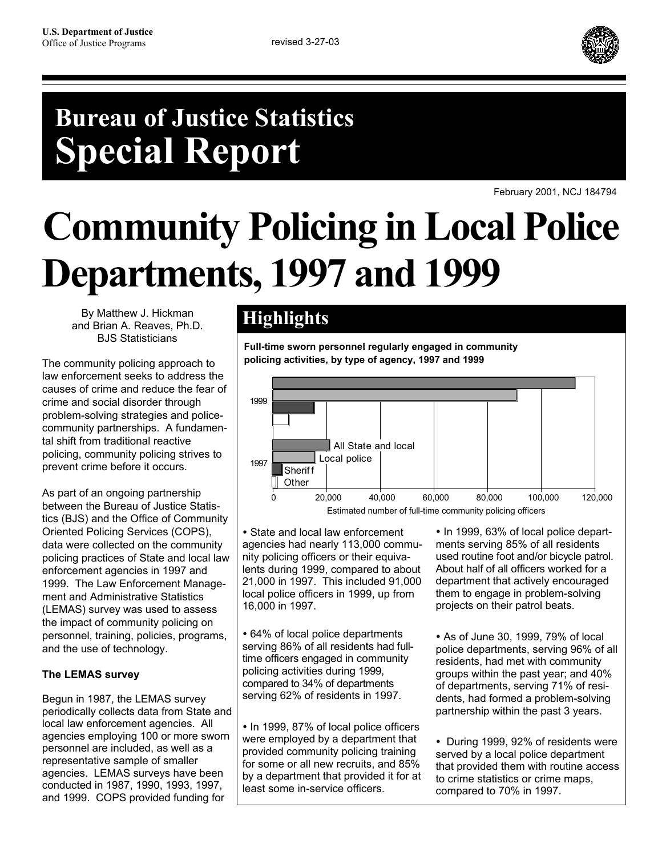

## **Bureau of Justice Statistics Special Report**

February 2001, NCJ 184794

# **Community Policing in Local Police Departments, 1997 and 1999**

By Matthew J. Hickman and Brian A. Reaves, Ph.D. BJS Statisticians

The community policing approach to law enforcement seeks to address the causes of crime and reduce the fear of crime and social disorder through problem-solving strategies and policecommunity partnerships. A fundamental shift from traditional reactive policing, community policing strives to prevent crime before it occurs.

As part of an ongoing partnership between the Bureau of Justice Statistics (BJS) and the Office of Community Oriented Policing Services (COPS), data were collected on the community policing practices of State and local law enforcement agencies in 1997 and 1999. The Law Enforcement Management and Administrative Statistics (LEMAS) survey was used to assess the impact of community policing on personnel, training, policies, programs, and the use of technology.

#### **The LEMAS survey**

Begun in 1987, the LEMAS survey periodically collects data from State and local law enforcement agencies. All agencies employing 100 or more sworn personnel are included, as well as a representative sample of smaller agencies. LEMAS surveys have been conducted in 1987, 1990, 1993, 1997, and 1999. COPS provided funding for

### **Highlights**

**Full-time sworn personnel regularly engaged in community policing activities, by type of agency, 1997 and 1999**



• State and local law enforcement agencies had nearly 113,000 community policing officers or their equivalents during 1999, compared to about 21,000 in 1997. This included 91,000 local police officers in 1999, up from 16,000 in 1997.

! 64% of local police departments serving 86% of all residents had fulltime officers engaged in community policing activities during 1999, compared to 34% of departments serving 62% of residents in 1997.

• In 1999, 87% of local police officers were employed by a department that provided community policing training for some or all new recruits, and 85% by a department that provided it for at least some in-service officers.

• In 1999, 63% of local police departments serving 85% of all residents used routine foot and/or bicycle patrol. About half of all officers worked for a department that actively encouraged them to engage in problem-solving projects on their patrol beats.

• As of June 30, 1999, 79% of local police departments, serving 96% of all residents, had met with community groups within the past year; and 40% of departments, serving 71% of residents, had formed a problem-solving partnership within the past 3 years.

• During 1999, 92% of residents were served by a local police department that provided them with routine access to crime statistics or crime maps, compared to 70% in 1997.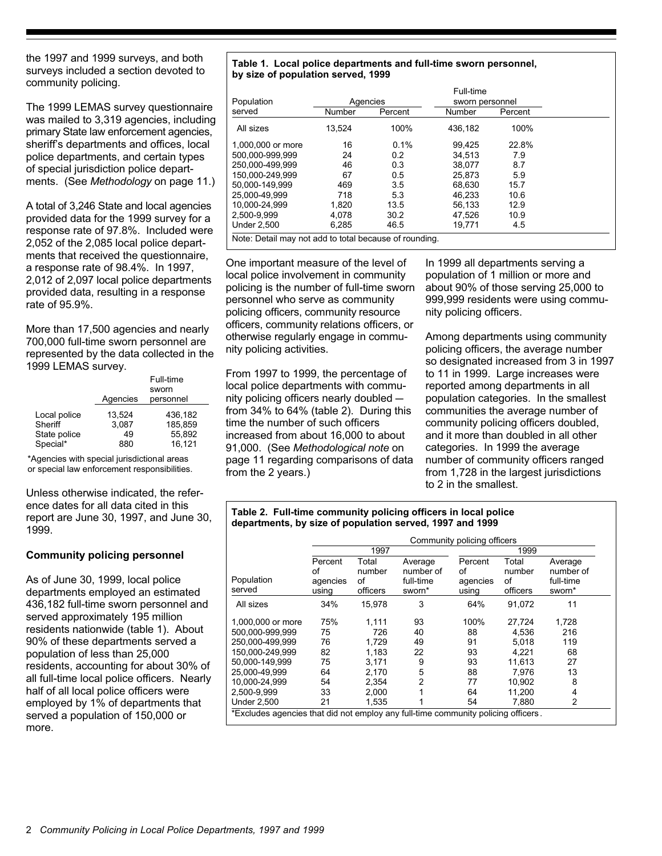the 1997 and 1999 surveys, and both surveys included a section devoted to community policing.

The 1999 LEMAS survey questionnaire was mailed to 3,319 agencies, including primary State law enforcement agencies, sheriff's departments and offices, local police departments, and certain types of special jurisdiction police departments. (See Methodology on page 11.)

A total of 3,246 State and local agencies provided data for the 1999 survey for a response rate of 97.8%. Included were 2,052 of the 2,085 local police departments that received the questionnaire, a response rate of 98.4%. In 1997, 2,012 of 2,097 local police departments provided data, resulting in a response rate of 95.9%.

More than 17,500 agencies and nearly 700,000 full-time sworn personnel are represented by the data collected in the 1999 LEMAS survey.

|              |          | Full-time |  |
|--------------|----------|-----------|--|
|              |          | sworn     |  |
|              | Agencies | personnel |  |
| Local police | 13.524   | 436.182   |  |
| Sheriff      | 3.087    | 185.859   |  |
| State police | 49       | 55,892    |  |
| Special*     | 880      | 16.121    |  |

\*Agencies with special jurisdictional areas or special law enforcement responsibilities.

Unless otherwise indicated, the reference dates for all data cited in this report are June 30, 1997, and June 30, 1999.

#### **Community policing personnel**

As of June 30, 1999, local police departments employed an estimated 436,182 full-time sworn personnel and served approximately 195 million residents nationwide (table 1). About 90% of these departments served a population of less than 25,000 residents, accounting for about 30% of all full-time local police officers. Nearly half of all local police officers were employed by 1% of departments that served a population of 150,000 or more.

#### Table 1. Local police departments and full-time sworn personnel, by size of population served, 1999

| Population                                            |        | Agencies | Full-time<br>sworn personnel |         |  |
|-------------------------------------------------------|--------|----------|------------------------------|---------|--|
| served                                                | Number | Percent  | Number                       | Percent |  |
| All sizes                                             | 13.524 | 100%     | 436.182                      | 100%    |  |
| 1.000.000 or more                                     | 16     | 0.1%     | 99.425                       | 22.8%   |  |
| 500.000-999.999                                       | 24     | 0.2      | 34.513                       | 7.9     |  |
| 250.000-499.999                                       | 46     | 0.3      | 38.077                       | 8.7     |  |
| 150.000-249.999                                       | 67     | 0.5      | 25.873                       | 5.9     |  |
| 50.000-149.999                                        | 469    | 3.5      | 68.630                       | 15.7    |  |
| 25.000-49.999                                         | 718    | 5.3      | 46.233                       | 10.6    |  |
| 10.000-24.999                                         | 1.820  | 13.5     | 56.133                       | 12.9    |  |
| 2,500-9,999                                           | 4.078  | 30.2     | 47.526                       | 10.9    |  |
| <b>Under 2.500</b>                                    | 6.285  | 46.5     | 19,771                       | 4.5     |  |
| Note: Detail may not add to total because of rounding |        |          |                              |         |  |

One important measure of the level of local police involvement in community policing is the number of full-time sworn personnel who serve as community policing officers, community resource officers, community relations officers, or otherwise regularly engage in community policing activities.

From 1997 to 1999, the percentage of local police departments with community policing officers nearly doubled from 34% to 64% (table 2). During this time the number of such officers increased from about 16,000 to about 91,000. (See Methodological note on page 11 regarding comparisons of data from the 2 years.)

In 1999 all departments serving a population of 1 million or more and about 90% of those serving 25,000 to 999,999 residents were using community policing officers.

Among departments using community policing officers, the average number so designated increased from 3 in 1997 to 11 in 1999. Large increases were reported among departments in all population categories. In the smallest communities the average number of community policing officers doubled, and it more than doubled in all other categories. In 1999 the average number of community officers ranged from 1,728 in the largest jurisdictions to 2 in the smallest.

#### Table 2. Full-time community policing officers in local police departments, by size of population served, 1997 and 1999

|                      |                                    | 1997                              |                                             |                                    | Community policing officers<br>1999 |                                             |  |
|----------------------|------------------------------------|-----------------------------------|---------------------------------------------|------------------------------------|-------------------------------------|---------------------------------------------|--|
| Population<br>served | Percent<br>of<br>agencies<br>using | Total<br>number<br>οf<br>officers | Average<br>number of<br>full-time<br>sworn* | Percent<br>οf<br>agencies<br>using | Total<br>number<br>of<br>officers   | Average<br>number of<br>full-time<br>sworn* |  |
| All sizes            | 34%                                | 15.978                            | 3                                           | 64%                                | 91.072                              | 11                                          |  |
| 1,000,000 or more    | 75%                                | 1.111                             | 93                                          | 100%                               | 27,724                              | 1,728                                       |  |
| 500.000-999.999      | 75                                 | 726                               | 40                                          | 88                                 | 4.536                               | 216                                         |  |
| 250.000-499.999      | 76                                 | 1.729                             | 49                                          | 91                                 | 5.018                               | 119                                         |  |
| 150.000-249.999      | 82                                 | 1.183                             | 22                                          | 93                                 | 4.221                               | 68                                          |  |
| 50.000-149.999       | 75                                 | 3.171                             | 9                                           | 93                                 | 11.613                              | 27                                          |  |
| 25.000-49.999        | 64                                 | 2.170                             | 5                                           | 88                                 | 7.976                               | 13                                          |  |
| 10.000-24.999        | 54                                 | 2.354                             | 2                                           | 77                                 | 10.902                              | 8                                           |  |
| 2.500-9.999          | 33                                 | 2.000                             |                                             | 64                                 | 11.200                              | 4                                           |  |
| <b>Under 2,500</b>   | 21                                 | 1,535                             |                                             | 54                                 | 7,880                               | 2                                           |  |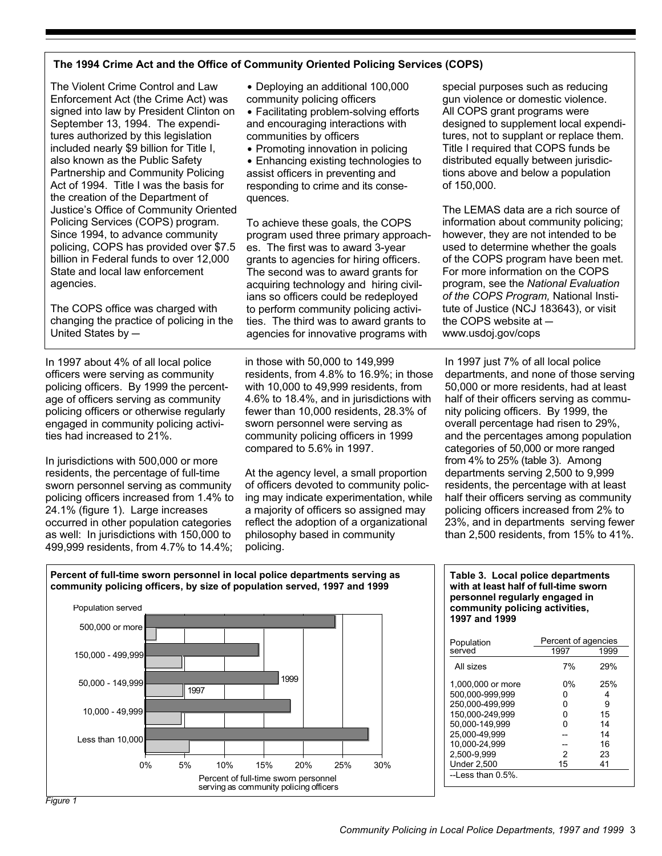#### The 1994 Crime Act and the Office of Community Oriented Policing Services (COPS)

The Violent Crime Control and Law Enforcement Act (the Crime Act) was signed into law by President Clinton on September 13, 1994. The expenditures authorized by this legislation included nearly \$9 billion for Title I, also known as the Public Safety Partnership and Community Policing Act of 1994. Title I was the basis for the creation of the Department of Justice's Office of Community Oriented Policing Services (COPS) program. Since 1994, to advance community policing, COPS has provided over \$7.5 billion in Federal funds to over 12,000 State and local law enforcement agencies.

The COPS office was charged with changing the practice of policing in the United States by -

In 1997 about 4% of all local police officers were serving as community policing officers. By 1999 the percentage of officers serving as community policing officers or otherwise regularly engaged in community policing activities had increased to 21%.

In jurisdictions with 500,000 or more residents, the percentage of full-time sworn personnel serving as community policing officers increased from 1.4% to 24.1% (figure 1). Large increases occurred in other population categories as well: In jurisdictions with 150,000 to 499,999 residents, from 4.7% to 14.4%;

• Deploying an additional 100,000 community policing officers

- Facilitating problem-solving efforts and encouraging interactions with communities by officers
- Promoting innovation in policing • Enhancing existing technologies to assist officers in preventing and responding to crime and its consequences.

To achieve these goals, the COPS program used three primary approaches. The first was to award 3-year grants to agencies for hiring officers. The second was to award grants for acquiring technology and hiring civilians so officers could be redeployed to perform community policing activities. The third was to award grants to agencies for innovative programs with

in those with 50,000 to 149,999 residents, from 4.8% to 16.9%; in those with 10,000 to 49,999 residents, from 4.6% to 18.4%, and in jurisdictions with fewer than 10,000 residents, 28.3% of sworn personnel were serving as community policing officers in 1999 compared to 5.6% in 1997.

At the agency level, a small proportion of officers devoted to community policing may indicate experimentation, while a majority of officers so assigned may reflect the adoption of a organizational philosophy based in community policing.

special purposes such as reducing gun violence or domestic violence. All COPS grant programs were designed to supplement local expenditures, not to supplant or replace them. Title I required that COPS funds be distributed equally between jurisdictions above and below a population of 150,000.

The LEMAS data are a rich source of information about community policing; however, they are not intended to be used to determine whether the goals of the COPS program have been met. For more information on the COPS program, see the National Evaluation of the COPS Program, National Institute of Justice (NCJ 183643), or visit the COPS website at www.usdoj.gov/cops

In 1997 just 7% of all local police departments, and none of those serving 50,000 or more residents, had at least half of their officers serving as community policing officers. By 1999, the overall percentage had risen to 29%, and the percentages among population categories of 50,000 or more ranged from 4% to 25% (table 3). Among departments serving 2,500 to 9,999 residents, the percentage with at least half their officers serving as community policing officers increased from 2% to 23%, and in departments serving fewer than 2,500 residents, from 15% to 41%.

Percent of full-time sworn personnel in local police departments serving as community policing officers, by size of population served, 1997 and 1999



Table 3. Local police departments with at least half of full-time sworn personnel regularly engaged in community policing activities, 1997 and 1999

| Population              | Percent of agencies |      |
|-------------------------|---------------------|------|
| served                  | 1997                | 1999 |
| All sizes               | 7%                  | 29%  |
| 1,000,000 or more       | 0%                  | 25%  |
| 500.000-999.999         |                     | Δ    |
| 250.000-499.999         | 0                   | 9    |
| 150.000-249,999         | n                   | 15   |
| 50.000-149,999          | n                   | 14   |
| 25.000-49.999           |                     | 14   |
| 10.000-24.999           |                     | 16   |
| 2.500-9.999             | 2                   | 23   |
| <b>Under 2,500</b>      | 15                  | 41   |
| $-1$ ess than $0.5\%$ . |                     |      |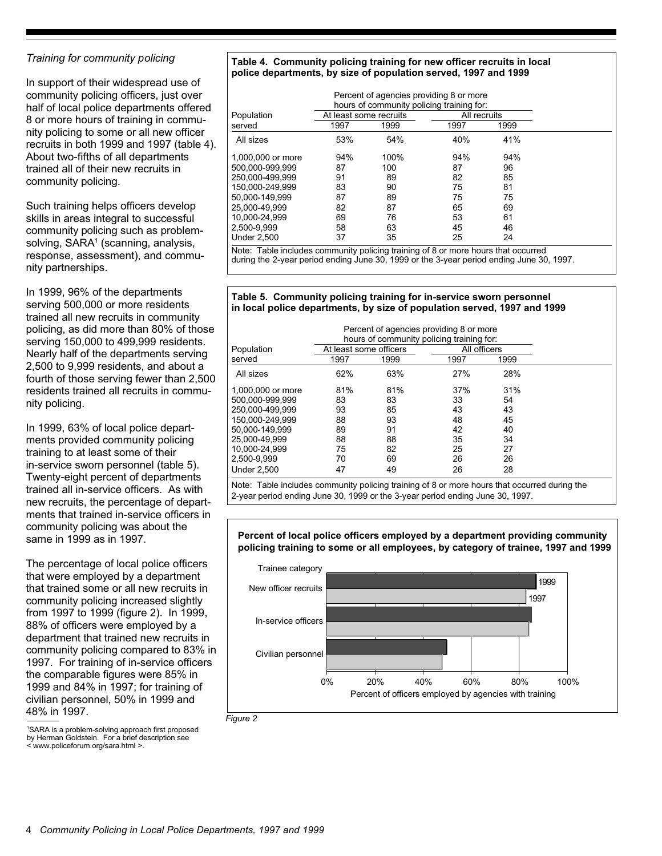#### Training for community policing

In support of their widespread use of community policing officers, just over half of local police departments offered 8 or more hours of training in community policing to some or all new officer recruits in both 1999 and 1997 (table 4). About two-fifths of all departments trained all of their new recruits in community policing.

Such training helps officers develop skills in areas integral to successful community policing such as problemsolving, SARA<sup>1</sup> (scanning, analysis, response, assessment), and community partnerships.

In 1999, 96% of the departments serving 500,000 or more residents trained all new recruits in community policing, as did more than 80% of those serving 150,000 to 499,999 residents. Nearly half of the departments serving 2,500 to 9,999 residents, and about a fourth of those serving fewer than 2,500 residents trained all recruits in community policing.

In 1999, 63% of local police departments provided community policing training to at least some of their in-service sworn personnel (table 5). Twenty-eight percent of departments trained all in-service officers. As with new recruits, the percentage of departments that trained in-service officers in community policing was about the same in 1999 as in 1997.

The percentage of local police officers that were employed by a department that trained some or all new recruits in community policing increased slightly from 1997 to 1999 (figure 2). In 1999, 88% of officers were employed by a department that trained new recruits in community policing compared to 83% in 1997. For training of in-service officers the comparable figures were 85% in 1999 and  $84\%$  in 1997; for training of civilian personnel, 50% in 1999 and 48% in 1997.

<sup>1</sup>SARA is a problem-solving approach first proposed by Herman Goldstein. For a brief description see<br>< www.policeforum.org/sara.html >.

#### Table 4. Community policing training for new officer recruits in local police departments, by size of population served, 1997 and 1999

| Population         | At least some recruits | hours of community policing training for: | All recruits |      |  |
|--------------------|------------------------|-------------------------------------------|--------------|------|--|
| served             | 1997                   | 1999                                      | 1997         | 1999 |  |
| All sizes          | 53%                    | 54%                                       | 40%          | 41%  |  |
| 1.000.000 or more  | 94%                    | 100%                                      | 94%          | 94%  |  |
| 500.000-999.999    | 87                     | 100                                       | 87           | 96   |  |
| 250.000-499.999    | 91                     | 89                                        | 82           | 85   |  |
| 150.000-249.999    | 83                     | 90                                        | 75           | 81   |  |
| 50.000-149.999     | 87                     | 89                                        | 75           | 75   |  |
| 25,000-49,999      | 82                     | 87                                        | 65           | 69   |  |
| 10,000-24,999      | 69                     | 76                                        | 53           | 61   |  |
| 2.500-9.999        | 58                     | 63                                        | 45           | 46   |  |
| <b>Under 2.500</b> | 37                     | 35                                        | 25           | 24   |  |

during the 2-year period ending June 30, 1999 or the 3-year period ending June 30, 1997.

#### Table 5. Community policing training for in-service sworn personnel in local police departments, by size of population served, 1997 and 1999

|                    |                        |      | Percent of agencies providing 8 or more<br>hours of community policing training for: |      |  |
|--------------------|------------------------|------|--------------------------------------------------------------------------------------|------|--|
| Population         | At least some officers |      | All officers                                                                         |      |  |
| served             | 1997                   | 1999 | 1997                                                                                 | 1999 |  |
| All sizes          | 62%                    | 63%  | 27%                                                                                  | 28%  |  |
| 1.000.000 or more  | 81%                    | 81%  | 37%                                                                                  | 31%  |  |
| 500.000-999.999    | 83                     | 83   | 33                                                                                   | 54   |  |
| 250.000-499.999    | 93                     | 85   | 43                                                                                   | 43   |  |
| 150.000-249.999    | 88                     | 93   | 48                                                                                   | 45   |  |
| 50.000-149.999     | 89                     | 91   | 42                                                                                   | 40   |  |
| 25.000-49.999      | 88                     | 88   | 35                                                                                   | 34   |  |
| 10.000-24.999      | 75                     | 82   | 25                                                                                   | 27   |  |
| 2.500-9.999        | 70                     | 69   | 26                                                                                   | 26   |  |
| <b>Under 2.500</b> | 47                     | 49   | 26                                                                                   | 28   |  |

Note: Table includes community policing training of 8 or more hours that occurred during the 2-year period ending June 30, 1999 or the 3-year period ending June 30, 1997.

#### Percent of local police officers employed by a department providing community policing training to some or all employees, by category of trainee, 1997 and 1999



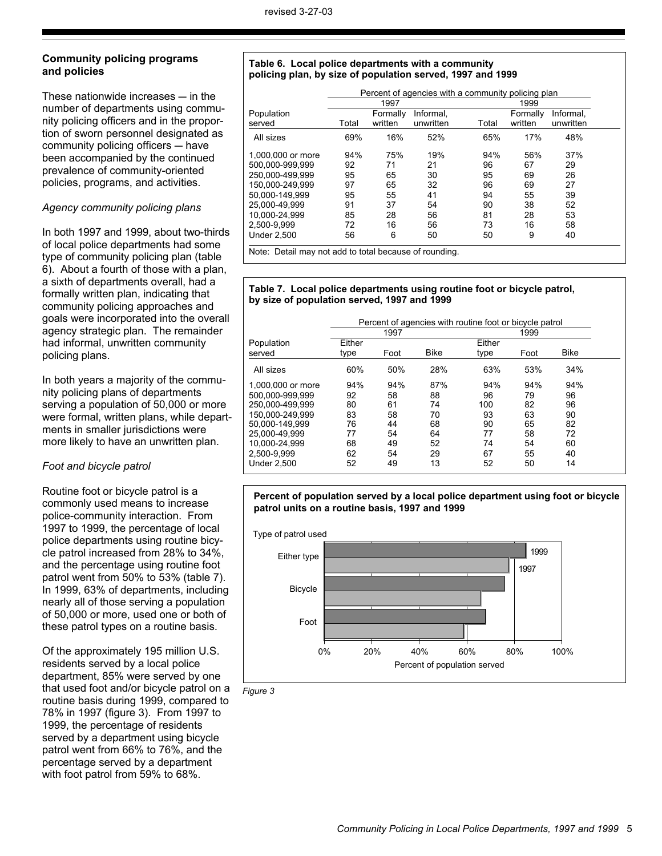#### **Community policing programs and policies**

These nationwide increases  $-$  in the number of departments using community policing officers and in the proportion of sworn personnel designated as community policing officers  $-$  have been accompanied by the continued prevalence of community-oriented policies, programs, and activities.

#### *Agency community policing plans*

In both 1997 and 1999, about two-thirds of local police departments had some type of community policing plan (table 6). About a fourth of those with a plan, a sixth of departments overall, had a formally written plan, indicating that community policing approaches and goals were incorporated into the overall agency strategic plan. The remainder had informal, unwritten community policing plans.

In both years a majority of the community policing plans of departments serving a population of 50,000 or more were formal, written plans, while departments in smaller jurisdictions were more likely to have an unwritten plan.

#### *Foot and bicycle patrol*

Routine foot or bicycle patrol is a commonly used means to increase police-community interaction. From 1997 to 1999, the percentage of local police departments using routine bicycle patrol increased from 28% to 34%, and the percentage using routine foot patrol went from 50% to 53% (table 7). In 1999, 63% of departments, including nearly all of those serving a population of 50,000 or more, used one or both of these patrol types on a routine basis.

Of the approximately 195 million U.S. residents served by a local police department, 85% were served by one that used foot and/or bicycle patrol on a routine basis during 1999, compared to 78% in 1997 (figure 3). From 1997 to 1999, the percentage of residents served by a department using bicycle patrol went from 66% to 76%, and the percentage served by a department with foot patrol from 59% to 68%.

#### **Table 6. Local police departments with a community policing plan, by size of population served, 1997 and 1999**

|                      |       |                     | Percent of agencies with a community policing plan |       |                     |                        |
|----------------------|-------|---------------------|----------------------------------------------------|-------|---------------------|------------------------|
|                      |       | 1997                |                                                    |       | 1999                |                        |
| Population<br>served | Total | Formally<br>written | Informal,<br>unwritten                             | Total | Formally<br>written | Informal,<br>unwritten |
| All sizes            | 69%   | 16%                 | 52%                                                | 65%   | 17%                 | 48%                    |
| 1,000,000 or more    | 94%   | 75%                 | 19%                                                | 94%   | 56%                 | 37%                    |
| 500.000-999.999      | 92    | 71                  | 21                                                 | 96    | 67                  | 29                     |
| 250.000-499.999      | 95    | 65                  | 30                                                 | 95    | 69                  | 26                     |
| 150,000-249,999      | 97    | 65                  | 32                                                 | 96    | 69                  | 27                     |
| 50.000-149.999       | 95    | 55                  | 41                                                 | 94    | 55                  | 39                     |
| 25.000-49.999        | 91    | 37                  | 54                                                 | 90    | 38                  | 52                     |
| 10,000-24,999        | 85    | 28                  | 56                                                 | 81    | 28                  | 53                     |
| 2,500-9,999          | 72    | 16                  | 56                                                 | 73    | 16                  | 58                     |
| <b>Under 2.500</b>   | 56    | 6                   | 50                                                 | 50    | 9                   | 40                     |

Note: Detail may not add to total because of rounding.

#### **Table 7. Local police departments using routine foot or bicycle patrol, by size of population served, 1997 and 1999**

|                    | Percent of agencies with routine foot or bicycle patrol |      |             |        |      |             |  |
|--------------------|---------------------------------------------------------|------|-------------|--------|------|-------------|--|
|                    |                                                         | 1997 |             |        | 1999 |             |  |
| Population         | Either                                                  |      |             | Either |      |             |  |
| served             | type                                                    | Foot | <b>Bike</b> | type   | Foot | <b>Bike</b> |  |
| All sizes          | 60%                                                     | 50%  | 28%         | 63%    | 53%  | 34%         |  |
| 1.000.000 or more  | 94%                                                     | 94%  | 87%         | 94%    | 94%  | 94%         |  |
| 500.000-999.999    | 92                                                      | 58   | 88          | 96     | 79   | 96          |  |
| 250.000-499.999    | 80                                                      | 61   | 74          | 100    | 82   | 96          |  |
| 150.000-249.999    | 83                                                      | 58   | 70          | 93     | 63   | 90          |  |
| 50.000-149.999     | 76                                                      | 44   | 68          | 90     | 65   | 82          |  |
| 25.000-49.999      | 77                                                      | 54   | 64          | 77     | 58   | 72          |  |
| 10.000-24.999      | 68                                                      | 49   | 52          | 74     | 54   | 60          |  |
| 2.500-9.999        | 62                                                      | 54   | 29          | 67     | 55   | 40          |  |
| <b>Under 2.500</b> | 52                                                      | 49   | 13          | 52     | 50   | 14          |  |

#### **Percent of population served by a local police department using foot or bicycle patrol units on a routine basis, 1997 and 1999**



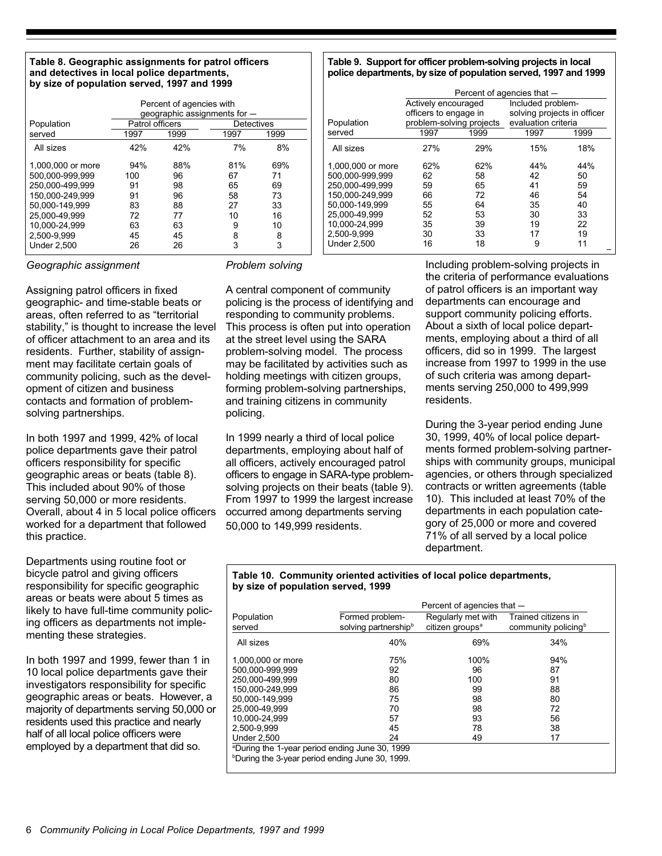#### Table 8. Geographic assignments for patrol officers and detectives in local police departments, by size of population served, 1997 and 1999

|                    | Percent of agencies with<br>geographic assignments for - |      |                   |      |  |
|--------------------|----------------------------------------------------------|------|-------------------|------|--|
| Population         | Patrol officers                                          |      | <b>Detectives</b> |      |  |
| served             | 1997                                                     | 1999 | 1997              | 1999 |  |
| All sizes          | 42%                                                      | 42%  | 7%                | 8%   |  |
| 1,000,000 or more  | 94%                                                      | 88%  | 81%               | 69%  |  |
| 500.000-999.999    | 100                                                      | 96   | 67                | 71   |  |
| 250.000-499.999    | 91                                                       | 98   | 65                | 69   |  |
| 150.000-249.999    | 91                                                       | 96   | 58                | 73   |  |
| 50.000-149.999     | 83                                                       | 88   | 27                | 33   |  |
| 25.000-49.999      | 72                                                       | 77   | 10                | 16   |  |
| 10.000-24.999      | 63                                                       | 63   | 9                 | 10   |  |
| 2.500-9.999        | 45                                                       | 45   | 8                 | 8    |  |
| <b>Under 2,500</b> | 26                                                       | 26   | 3                 | 3    |  |

#### Table 9. Support for officer problem-solving projects in local police departments, by size of population served, 1997 and 1999

|                   |                          |      | Percent of agencies that -  |      |
|-------------------|--------------------------|------|-----------------------------|------|
|                   | Actively encouraged      |      | Included problem-           |      |
|                   | officers to engage in    |      | solving projects in officer |      |
| Population        | problem-solving projects |      | evaluation criteria         |      |
| served            | 1997                     | 1999 | 1997                        | 1999 |
| All sizes         | 27%                      | 29%  | 15%                         | 18%  |
| 1.000.000 or more | 62%                      | 62%  | 44%                         | 44%  |
| 500.000-999.999   | 62                       | 58   | 42                          | 50   |
| 250.000-499.999   | 59                       | 65   | 41                          | 59   |
| 150.000-249.999   | 66                       | 72   | 46                          | 54   |
| 50,000-149,999    | 55                       | 64   | 35                          | 40   |
| 25.000-49.999     | 52                       | 53   | 30                          | 33   |
| 10,000-24,999     | 35                       | 39   | 19                          | 22   |
| 2.500-9.999       | 30                       | 33   | 17                          | 19   |
| Under 2.500       | 16                       | 18   | 9                           | 11   |

#### Geographic assignment

Assigning patrol officers in fixed geographic- and time-stable beats or areas, often referred to as "territorial stability," is thought to increase the level of officer attachment to an area and its residents. Further, stability of assignment may facilitate certain goals of community policing, such as the development of citizen and business contacts and formation of problemsolving partnerships.

In both 1997 and 1999, 42% of local police departments gave their patrol officers responsibility for specific geographic areas or beats (table 8). This included about 90% of those serving 50,000 or more residents. Overall, about 4 in 5 local police officers worked for a department that followed this practice.

Departments using routine foot or bicycle patrol and giving officers responsibility for specific geographic areas or beats were about 5 times as likely to have full-time community policing officers as departments not implementing these strategies.

In both 1997 and 1999, fewer than 1 in 10 local police departments gave their investigators responsibility for specific geographic areas or beats. However, a majority of departments serving 50,000 or residents used this practice and nearly half of all local police officers were employed by a department that did so.

#### Problem solving

A central component of community policing is the process of identifying and responding to community problems. This process is often put into operation at the street level using the SARA problem-solving model. The process may be facilitated by activities such as holding meetings with citizen groups. forming problem-solving partnerships, and training citizens in community policing.

In 1999 nearly a third of local police departments, employing about half of all officers, actively encouraged patrol officers to engage in SARA-type problemsolving projects on their beats (table 9). From 1997 to 1999 the largest increase occurred among departments serving 50,000 to 149,999 residents.

Including problem-solving projects in the criteria of performance evaluations of patrol officers is an important way departments can encourage and support community policing efforts. About a sixth of local police departments, employing about a third of all officers, did so in 1999. The largest increase from 1997 to 1999 in the use of such criteria was among departments serving 250,000 to 499,999 residents.

During the 3-year period ending June 30, 1999, 40% of local police departments formed problem-solving partnerships with community groups, municipal agencies, or others through specialized contracts or written agreements (table 10). This included at least 70% of the departments in each population category of 25,000 or more and covered 71% of all served by a local police department.

#### Table 10. Community oriented activities of local police departments, by size of population served, 1999

| Regularly met with<br>Formed problem-<br>Population<br>solving partnership <sup>b</sup><br>served<br>citizen groups <sup>a</sup><br>40%<br>69%<br>34%<br>All sizes<br>75%<br>100%<br>94%<br>1,000,000 or more<br>500.000-999.999<br>92<br>96<br>87<br>250.000-499.999<br>80<br>100<br>91<br>150.000-249.999<br>86<br>99<br>88<br>50.000-149.999<br>75<br>98<br>80<br>25.000-49.999<br>98<br>70<br>72<br>10.000-24.999<br>93<br>57<br>56<br>2.500-9.999<br>45<br>78<br>38 |                    | Percent of agencies that - |    |                                                        |  |  |  |  |
|--------------------------------------------------------------------------------------------------------------------------------------------------------------------------------------------------------------------------------------------------------------------------------------------------------------------------------------------------------------------------------------------------------------------------------------------------------------------------|--------------------|----------------------------|----|--------------------------------------------------------|--|--|--|--|
|                                                                                                                                                                                                                                                                                                                                                                                                                                                                          |                    |                            |    | Trained citizens in<br>community policing <sup>b</sup> |  |  |  |  |
|                                                                                                                                                                                                                                                                                                                                                                                                                                                                          |                    |                            |    |                                                        |  |  |  |  |
|                                                                                                                                                                                                                                                                                                                                                                                                                                                                          |                    |                            |    |                                                        |  |  |  |  |
|                                                                                                                                                                                                                                                                                                                                                                                                                                                                          |                    |                            |    |                                                        |  |  |  |  |
|                                                                                                                                                                                                                                                                                                                                                                                                                                                                          |                    |                            |    |                                                        |  |  |  |  |
|                                                                                                                                                                                                                                                                                                                                                                                                                                                                          |                    |                            |    |                                                        |  |  |  |  |
|                                                                                                                                                                                                                                                                                                                                                                                                                                                                          |                    |                            |    |                                                        |  |  |  |  |
|                                                                                                                                                                                                                                                                                                                                                                                                                                                                          |                    |                            |    |                                                        |  |  |  |  |
|                                                                                                                                                                                                                                                                                                                                                                                                                                                                          |                    |                            |    |                                                        |  |  |  |  |
|                                                                                                                                                                                                                                                                                                                                                                                                                                                                          |                    |                            |    |                                                        |  |  |  |  |
|                                                                                                                                                                                                                                                                                                                                                                                                                                                                          | <b>Under 2.500</b> | 24                         | 49 | 17                                                     |  |  |  |  |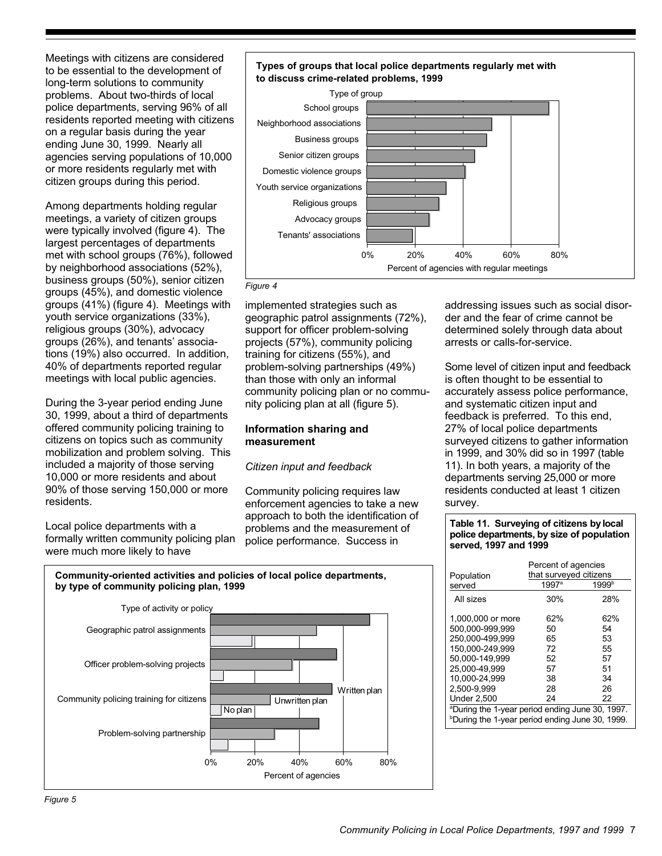Meetings with citizens are considered to be essential to the development of long-term solutions to community problems. About two-thirds of local police departments, serving 96% of all residents reported meeting with citizens on a regular basis during the year ending June 30, 1999. Nearly all agencies serving populations of 10,000 or more residents regularly met with citizen groups during this period.

Among departments holding regular meetings, a variety of citizen groups were typically involved (figure 4). The largest percentages of departments met with school groups (76%), followed by neighborhood associations (52%), business groups (50%), senior citizen groups (45%), and domestic violence groups (41%) (figure 4). Meetings with youth service organizations (33%), religious groups (30%), advocacy groups (26%), and tenants' associations (19%) also occurred. In addition, 40% of departments reported regular meetings with local public agencies.

During the 3-year period ending June 30, 1999, about a third of departments offered community policing training to citizens on topics such as community mobilization and problem solving. This included a majority of those serving 10,000 or more residents and about 90% of those serving 150,000 or more residents.

Local police departments with a formally written community policing plan were much more likely to have





Figure 4

implemented strategies such as geographic patrol assignments (72%). support for officer problem-solving projects (57%), community policing training for citizens (55%), and problem-solving partnerships (49%) than those with only an informal community policing plan or no community policing plan at all (figure 5).

#### Information sharing and measurement

#### Citizen input and feedback

Community policing requires law enforcement agencies to take a new approach to both the identification of problems and the measurement of police performance. Success in

addressing issues such as social disorder and the fear of crime cannot be determined solely through data about arrests or calls-for-service.

Some level of citizen input and feedback is often thought to be essential to accurately assess police performance, and systematic citizen input and feedback is preferred. To this end, 27% of local police departments surveyed citizens to gather information in 1999, and 30% did so in 1997 (table 11). In both years, a majority of the departments serving 25,000 or more residents conducted at least 1 citizen survey.

#### Table 11. Surveying of citizens by local police departments, by size of population served, 1997 and 1999

| Population<br>served                                                                                                                          | Percent of agencies<br>that surveyed citizens<br>1997 <sup>a</sup> | 1999 <sup>b</sup>                             |  |  |  |
|-----------------------------------------------------------------------------------------------------------------------------------------------|--------------------------------------------------------------------|-----------------------------------------------|--|--|--|
| All sizes                                                                                                                                     | 30%                                                                | 28%                                           |  |  |  |
| 1,000,000 or more<br>500.000-999.999<br>250.000-499.999<br>150,000-249.999<br>50.000-149.999<br>25.000-49.999<br>10.000-24.999<br>2.500-9.999 | 62%<br>50<br>65<br>72<br>52<br>57<br>38<br>28                      | 62%<br>54<br>53<br>55<br>57<br>51<br>34<br>26 |  |  |  |
| <b>Under 2.500</b><br>24<br>22                                                                                                                |                                                                    |                                               |  |  |  |
| <sup>a</sup> During the 1-year period ending June 30, 1997.<br><b>During the 1-year period ending June 30, 1999.</b>                          |                                                                    |                                               |  |  |  |

Community-oriented activities and policies of local police departments, by type of community policing plan, 1999

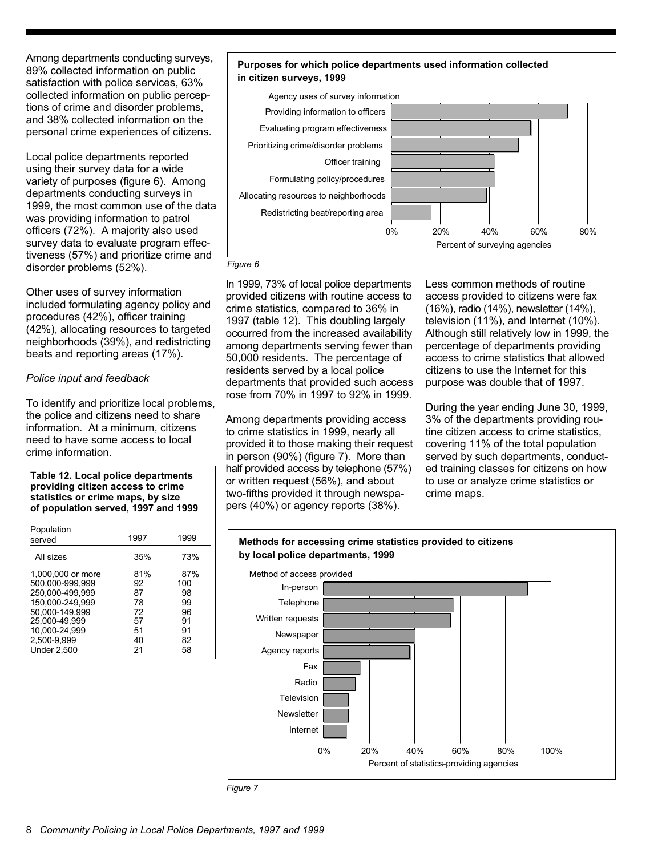Among departments conducting surveys, 89% collected information on public satisfaction with police services, 63% collected information on public perceptions of crime and disorder problems, and 38% collected information on the personal crime experiences of citizens.

Local police departments reported using their survey data for a wide variety of purposes (figure 6). Among departments conducting surveys in 1999, the most common use of the data was providing information to patrol officers (72%). A majority also used survey data to evaluate program effectiveness (57%) and prioritize crime and disorder problems (52%).

Other uses of survey information included formulating agency policy and procedures (42%), officer training (42%), allocating resources to targeted neighborhoods (39%), and redistricting beats and reporting areas (17%).

#### Police input and feedback

To identify and prioritize local problems, the police and citizens need to share information. At a minimum, citizens need to have some access to local crime information.

#### Table 12. Local police departments providing citizen access to crime statistics or crime maps, by size of population served, 1997 and 1999

| Population<br>served                                                                                                                                                | 1997                                                | 1999                                                 |
|---------------------------------------------------------------------------------------------------------------------------------------------------------------------|-----------------------------------------------------|------------------------------------------------------|
| All sizes                                                                                                                                                           | 35%                                                 | 73%                                                  |
| 1.000,000 or more<br>500.000-999.999<br>250.000-499.999<br>150.000-249.999<br>50.000-149.999<br>25.000-49.999<br>10.000-24.999<br>2.500-9.999<br><b>Under 2.500</b> | 81%<br>92<br>87<br>78<br>72<br>57<br>51<br>40<br>21 | 87%<br>100<br>98<br>99<br>96<br>91<br>91<br>82<br>58 |

#### Purposes for which police departments used information collected in citizen surveys, 1999



#### Figure 6

In 1999, 73% of local police departments provided citizens with routine access to crime statistics, compared to 36% in 1997 (table 12). This doubling largely occurred from the increased availability among departments serving fewer than 50,000 residents. The percentage of residents served by a local police departments that provided such access rose from 70% in 1997 to 92% in 1999.

Among departments providing access to crime statistics in 1999, nearly all provided it to those making their request in person (90%) (figure 7). More than half provided access by telephone (57%) or written request (56%), and about two-fifths provided it through newspapers (40%) or agency reports (38%).

Methods for accessing crime statistics provided to citizens

Less common methods of routine access provided to citizens were fax (16%), radio (14%), newsletter (14%), television (11%), and Internet (10%). Although still relatively low in 1999, the percentage of departments providing access to crime statistics that allowed citizens to use the Internet for this purpose was double that of 1997.

During the year ending June 30, 1999, 3% of the departments providing routine citizen access to crime statistics, covering 11% of the total population served by such departments, conducted training classes for citizens on how to use or analyze crime statistics or crime maps.



Figure 7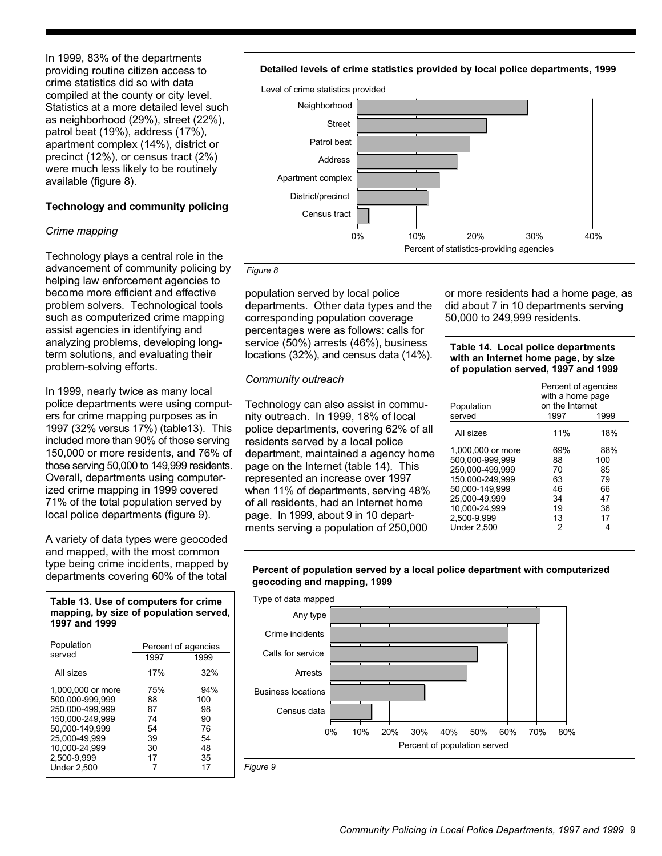In 1999, 83% of the departments providing routine citizen access to crime statistics did so with data compiled at the county or city level. Statistics at a more detailed level such as neighborhood (29%), street (22%), patrol beat (19%), address (17%), apartment complex (14%), district or precinct (12%), or census tract (2%) were much less likely to be routinely available (figure 8).

#### **Technology and community policing**

#### Crime mapping

Technology plays a central role in the advancement of community policing by helping law enforcement agencies to become more efficient and effective problem solvers. Technological tools such as computerized crime mapping assist agencies in identifying and analyzing problems, developing longterm solutions, and evaluating their problem-solving efforts.

In 1999, nearly twice as many local police departments were using computers for crime mapping purposes as in 1997 (32% versus 17%) (table13). This included more than 90% of those serving 150,000 or more residents, and 76% of those serving 50,000 to 149,999 residents. Overall, departments using computerized crime mapping in 1999 covered 71% of the total population served by local police departments (figure 9).

A variety of data types were geocoded and mapped, with the most common type being crime incidents, mapped by departments covering 60% of the total

#### Table 13. Use of computers for crime mapping, by size of population served, 1997 and 1999

| Population<br>served | Percent of agencies |      |
|----------------------|---------------------|------|
|                      | 1997                | 1999 |
| All sizes            | 17%                 | 32%  |
| 1,000,000 or more    | 75%                 | 94%  |
| 500.000-999.999      | 88                  | 100  |
| 250.000-499.999      | 87                  | 98   |
| 150.000-249.999      | 74                  | 90   |
| 50,000-149,999       | 54                  | 76   |
| 25.000-49.999        | 39                  | 54   |
| 10.000-24.999        | 30                  | 48   |
| 2,500-9,999          | 17                  | 35   |
| <b>Under 2,500</b>   |                     | 17   |



#### Figure 8

population served by local police departments. Other data types and the corresponding population coverage percentages were as follows: calls for service (50%) arrests (46%), business locations (32%), and census data (14%).

#### Community outreach

Technology can also assist in community outreach. In 1999, 18% of local police departments, covering 62% of all residents served by a local police department, maintained a agency home page on the Internet (table 14). This represented an increase over 1997 when 11% of departments, serving 48% of all residents, had an Internet home page. In 1999, about 9 in 10 departments serving a population of 250,000

or more residents had a home page, as did about 7 in 10 departments serving 50,000 to 249,999 residents.

#### Table 14. Local police departments with an Internet home page, by size of population served, 1997 and 1999

| Population         | Percent of agencies<br>with a home page<br>on the Internet |      |
|--------------------|------------------------------------------------------------|------|
| served             | 1997                                                       | 1999 |
| All sizes          | 11%                                                        | 18%  |
| 1,000,000 or more  | 69%                                                        | 88%  |
| 500.000-999.999    | 88                                                         | 100  |
| 250.000-499.999    | 70                                                         | 85   |
| 150.000-249.999    | 63                                                         | 79   |
| 50.000-149.999     | 46                                                         | 66   |
| 25.000-49.999      | 34                                                         | 47   |
| 10.000-24.999      | 19                                                         | 36   |
| 2.500-9.999        | 13                                                         | 17   |
| <b>Under 2.500</b> | 2                                                          |      |

#### Percent of population served by a local police department with computerized geocoding and mapping, 1999



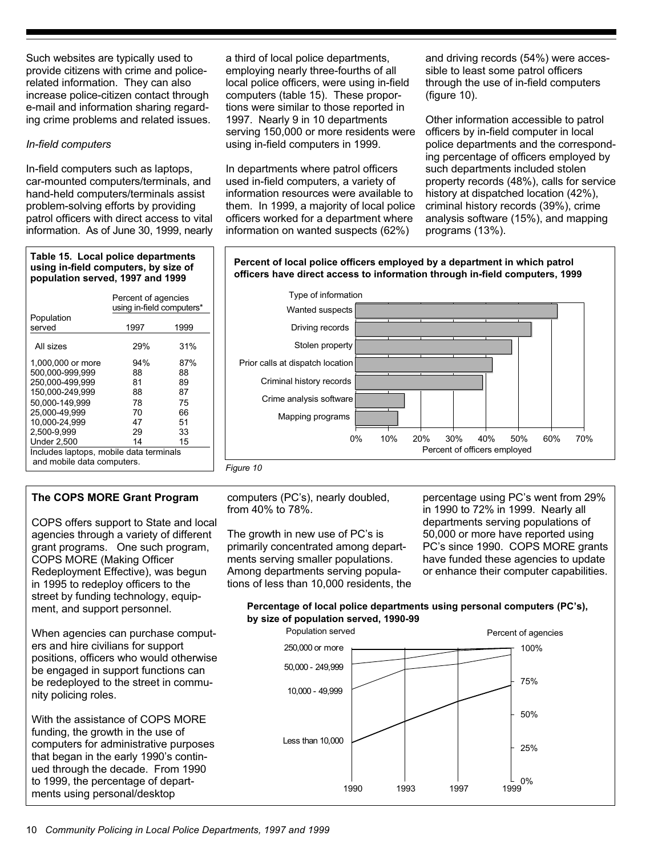Such websites are typically used to provide citizens with crime and policerelated information. They can also increase police-citizen contact through e-mail and information sharing regarding crime problems and related issues.

#### In-field computers

In-field computers such as laptops, car-mounted computers/terminals, and hand-held computers/terminals assist problem-solving efforts by providing patrol officers with direct access to vital information. As of June 30, 1999, nearly

#### Table 15. Local police departments using in-field computers, by size of population served, 1997 and 1999

|                                                                       | Percent of agencies<br>using in-field computers* |      |  |  |
|-----------------------------------------------------------------------|--------------------------------------------------|------|--|--|
| Population                                                            |                                                  |      |  |  |
| served                                                                | 1997                                             | 1999 |  |  |
| All sizes                                                             | 29%                                              | 31%  |  |  |
| 1.000.000 or more                                                     | 94%                                              | 87%  |  |  |
| 500.000-999,999                                                       | 88                                               | 88   |  |  |
| 250.000-499.999                                                       | 81                                               | 89   |  |  |
| 150.000-249.999                                                       | 88                                               | 87   |  |  |
| 50,000-149,999                                                        | 78                                               | 75   |  |  |
| 25.000-49.999                                                         | 70                                               | 66   |  |  |
| 10.000-24.999                                                         | 47                                               | 51   |  |  |
| 2,500-9,999                                                           | 29                                               | 33   |  |  |
| <b>Under 2.500</b>                                                    | 14                                               | 15   |  |  |
| Includes laptops, mobile data terminals<br>and mobile data computers. |                                                  |      |  |  |

#### The COPS MORE Grant Program

COPS offers support to State and local agencies through a variety of different grant programs. One such program, COPS MORE (Making Officer Redeployment Effective), was begun in 1995 to redeploy officers to the street by funding technology, equipment, and support personnel.

When agencies can purchase computers and hire civilians for support positions, officers who would otherwise be engaged in support functions can be redeployed to the street in community policing roles.

With the assistance of COPS MORE funding, the growth in the use of computers for administrative purposes that began in the early 1990's continued through the decade. From 1990 to 1999, the percentage of departments using personal/desktop

a third of local police departments, employing nearly three-fourths of all local police officers, were using in-field computers (table 15). These proportions were similar to those reported in 1997. Nearly 9 in 10 departments serving 150,000 or more residents were using in-field computers in 1999.

In departments where patrol officers used in-field computers, a variety of information resources were available to them. In 1999, a majority of local police officers worked for a department where information on wanted suspects (62%)

and driving records (54%) were accessible to least some patrol officers through the use of in-field computers (figure 10).

Other information accessible to patrol officers by in-field computer in local police departments and the corresponding percentage of officers employed by such departments included stolen property records (48%), calls for service history at dispatched location (42%). criminal history records (39%), crime analysis software (15%), and mapping programs (13%).







computers (PC's), nearly doubled, from 40% to 78%.

The growth in new use of PC's is primarily concentrated among departments serving smaller populations. Among departments serving populations of less than 10,000 residents, the percentage using PC's went from 29% in 1990 to 72% in 1999. Nearly all departments serving populations of 50,000 or more have reported using PC's since 1990. COPS MORE grants have funded these agencies to update or enhance their computer capabilities.